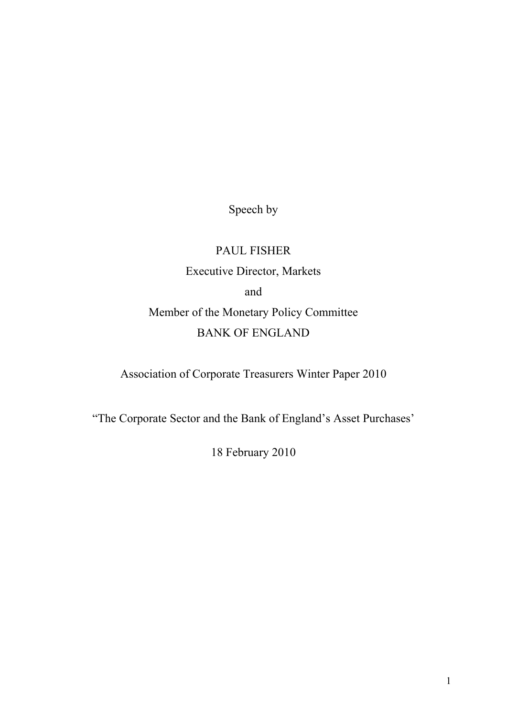Speech by

# PAUL FISHER Executive Director, Markets and Member of the Monetary Policy Committee BANK OF ENGLAND

# Association of Corporate Treasurers Winter Paper 2010

"The Corporate Sector and the Bank of England's Asset Purchases'

18 February 2010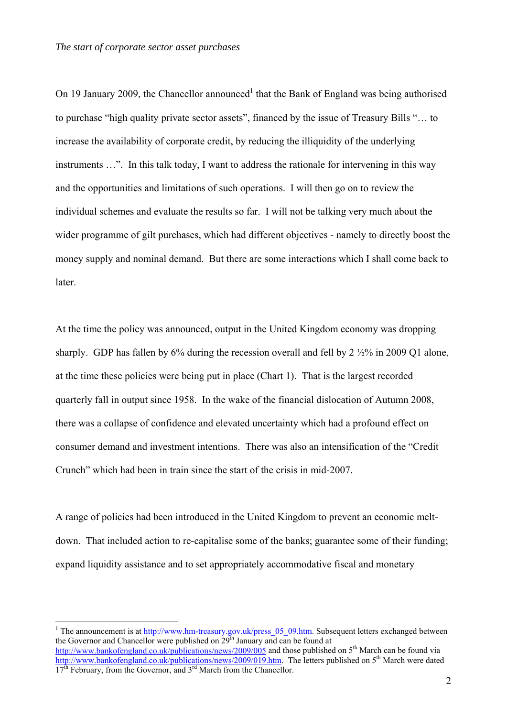On 19 January 2009, the Chancellor announced<sup>1</sup> that the Bank of England was being authorised to purchase "high quality private sector assets", financed by the issue of Treasury Bills "… to increase the availability of corporate credit, by reducing the illiquidity of the underlying instruments …". In this talk today, I want to address the rationale for intervening in this way and the opportunities and limitations of such operations. I will then go on to review the individual schemes and evaluate the results so far. I will not be talking very much about the wider programme of gilt purchases, which had different objectives - namely to directly boost the money supply and nominal demand. But there are some interactions which I shall come back to later.

At the time the policy was announced, output in the United Kingdom economy was dropping sharply. GDP has fallen by 6% during the recession overall and fell by 2 ½% in 2009 Q1 alone, at the time these policies were being put in place (Chart 1). That is the largest recorded quarterly fall in output since 1958. In the wake of the financial dislocation of Autumn 2008, there was a collapse of confidence and elevated uncertainty which had a profound effect on consumer demand and investment intentions. There was also an intensification of the "Credit Crunch" which had been in train since the start of the crisis in mid-2007.

A range of policies had been introduced in the United Kingdom to prevent an economic meltdown. That included action to re-capitalise some of the banks; guarantee some of their funding; expand liquidity assistance and to set appropriately accommodative fiscal and monetary

-

<sup>&</sup>lt;sup>1</sup> The announcement is at  $\frac{http://www.hm-treasury.gov.uk/press_05_09.htm}{http://www.hm-treasury.gov.uk/press_05_09.htm}$ . Subsequent letters exchanged between the Governor and Chancellor were published on  $29<sup>th</sup>$  January and can be found at http://www.bankofengland.co.uk/publications/news/2009/005 and those published on 5<sup>th</sup> March can be found via

http://www.bankofengland.co.uk/publications/news/2009/019.htm. The letters published on 5<sup>th</sup> March were dated http://www.bankofengland.co.uk/publications/news/2009/019.htm. The letters published on 5<sup>th</sup> March were dated 17<sup>th</sup> February, from the Governor, and 3<sup>rd</sup> March from the Chancellor.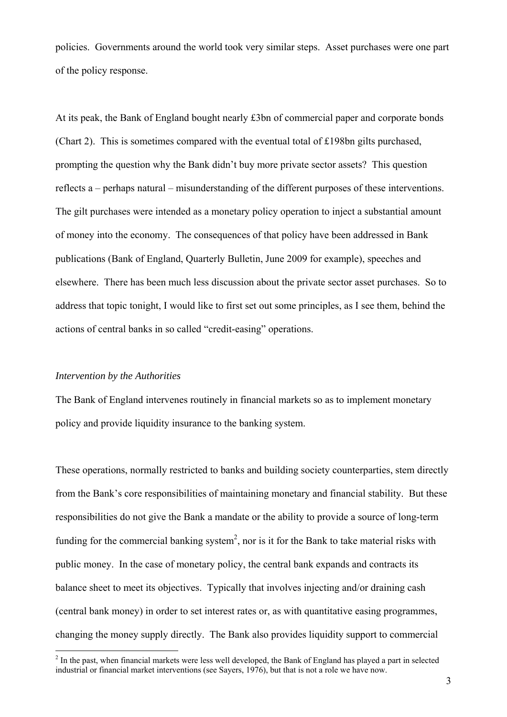policies. Governments around the world took very similar steps. Asset purchases were one part of the policy response.

At its peak, the Bank of England bought nearly £3bn of commercial paper and corporate bonds (Chart 2). This is sometimes compared with the eventual total of £198bn gilts purchased, prompting the question why the Bank didn't buy more private sector assets? This question reflects a – perhaps natural – misunderstanding of the different purposes of these interventions. The gilt purchases were intended as a monetary policy operation to inject a substantial amount of money into the economy. The consequences of that policy have been addressed in Bank publications (Bank of England, Quarterly Bulletin, June 2009 for example), speeches and elsewhere. There has been much less discussion about the private sector asset purchases. So to address that topic tonight, I would like to first set out some principles, as I see them, behind the actions of central banks in so called "credit-easing" operations.

#### *Intervention by the Authorities*

The Bank of England intervenes routinely in financial markets so as to implement monetary policy and provide liquidity insurance to the banking system.

These operations, normally restricted to banks and building society counterparties, stem directly from the Bank's core responsibilities of maintaining monetary and financial stability. But these responsibilities do not give the Bank a mandate or the ability to provide a source of long-term funding for the commercial banking system<sup>2</sup>, nor is it for the Bank to take material risks with public money. In the case of monetary policy, the central bank expands and contracts its balance sheet to meet its objectives. Typically that involves injecting and/or draining cash (central bank money) in order to set interest rates or, as with quantitative easing programmes, changing the money supply directly. The Bank also provides liquidity support to commercial

<sup>&</sup>lt;sup>2</sup> In the past, when financial markets were less well developed, the Bank of England has played a part in selected industrial or financial market interventions (see Sayers, 1976), but that is not a role we have now.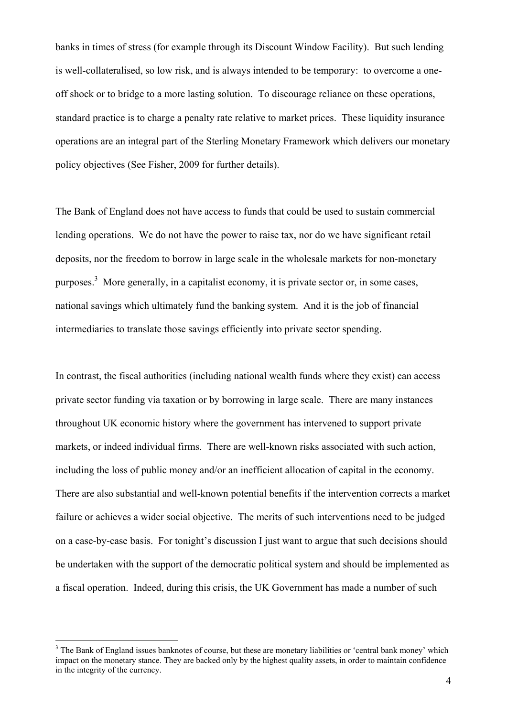banks in times of stress (for example through its Discount Window Facility). But such lending is well-collateralised, so low risk, and is always intended to be temporary: to overcome a oneoff shock or to bridge to a more lasting solution. To discourage reliance on these operations, standard practice is to charge a penalty rate relative to market prices. These liquidity insurance operations are an integral part of the Sterling Monetary Framework which delivers our monetary policy objectives (See Fisher, 2009 for further details).

The Bank of England does not have access to funds that could be used to sustain commercial lending operations. We do not have the power to raise tax, nor do we have significant retail deposits, nor the freedom to borrow in large scale in the wholesale markets for non-monetary purposes.<sup>3</sup> More generally, in a capitalist economy, it is private sector or, in some cases, national savings which ultimately fund the banking system. And it is the job of financial intermediaries to translate those savings efficiently into private sector spending.

In contrast, the fiscal authorities (including national wealth funds where they exist) can access private sector funding via taxation or by borrowing in large scale. There are many instances throughout UK economic history where the government has intervened to support private markets, or indeed individual firms. There are well-known risks associated with such action, including the loss of public money and/or an inefficient allocation of capital in the economy. There are also substantial and well-known potential benefits if the intervention corrects a market failure or achieves a wider social objective. The merits of such interventions need to be judged on a case-by-case basis. For tonight's discussion I just want to argue that such decisions should be undertaken with the support of the democratic political system and should be implemented as a fiscal operation. Indeed, during this crisis, the UK Government has made a number of such

<sup>&</sup>lt;sup>3</sup> The Bank of England issues banknotes of course, but these are monetary liabilities or 'central bank money' which impact on the monetary stance. They are backed only by the highest quality assets, in order to maintain confidence in the integrity of the currency.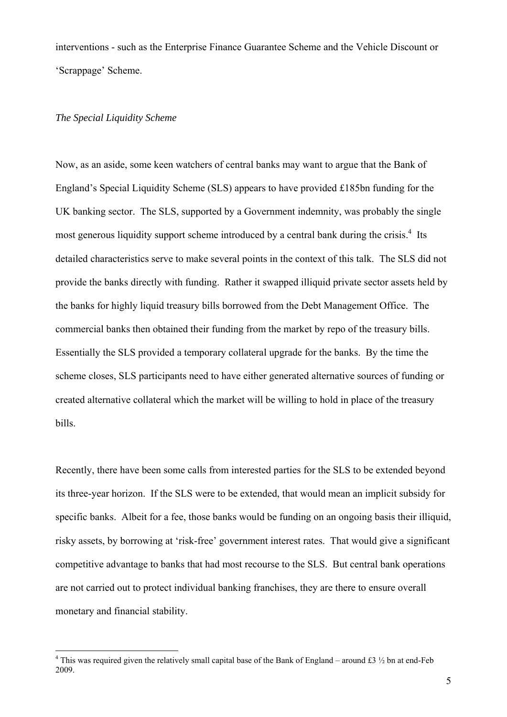interventions - such as the Enterprise Finance Guarantee Scheme and the Vehicle Discount or 'Scrappage' Scheme.

# *The Special Liquidity Scheme*

Now, as an aside, some keen watchers of central banks may want to argue that the Bank of England's Special Liquidity Scheme (SLS) appears to have provided £185bn funding for the UK banking sector. The SLS, supported by a Government indemnity, was probably the single most generous liquidity support scheme introduced by a central bank during the crisis.<sup>4</sup> Its detailed characteristics serve to make several points in the context of this talk. The SLS did not provide the banks directly with funding. Rather it swapped illiquid private sector assets held by the banks for highly liquid treasury bills borrowed from the Debt Management Office. The commercial banks then obtained their funding from the market by repo of the treasury bills. Essentially the SLS provided a temporary collateral upgrade for the banks. By the time the scheme closes, SLS participants need to have either generated alternative sources of funding or created alternative collateral which the market will be willing to hold in place of the treasury bills.

Recently, there have been some calls from interested parties for the SLS to be extended beyond its three-year horizon. If the SLS were to be extended, that would mean an implicit subsidy for specific banks. Albeit for a fee, those banks would be funding on an ongoing basis their illiquid, risky assets, by borrowing at 'risk-free' government interest rates. That would give a significant competitive advantage to banks that had most recourse to the SLS. But central bank operations are not carried out to protect individual banking franchises, they are there to ensure overall monetary and financial stability.

<sup>&</sup>lt;sup>4</sup> This was required given the relatively small capital base of the Bank of England – around £3 <sup>1</sup>/<sub>2</sub> bn at end-Feb 2009.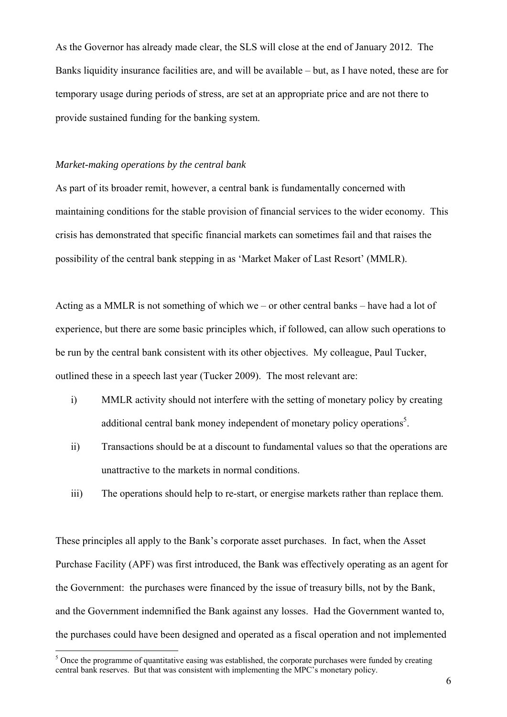As the Governor has already made clear, the SLS will close at the end of January 2012. The Banks liquidity insurance facilities are, and will be available – but, as I have noted, these are for temporary usage during periods of stress, are set at an appropriate price and are not there to provide sustained funding for the banking system.

#### *Market-making operations by the central bank*

As part of its broader remit, however, a central bank is fundamentally concerned with maintaining conditions for the stable provision of financial services to the wider economy. This crisis has demonstrated that specific financial markets can sometimes fail and that raises the possibility of the central bank stepping in as 'Market Maker of Last Resort' (MMLR).

Acting as a MMLR is not something of which we – or other central banks – have had a lot of experience, but there are some basic principles which, if followed, can allow such operations to be run by the central bank consistent with its other objectives. My colleague, Paul Tucker, outlined these in a speech last year (Tucker 2009). The most relevant are:

- i) MMLR activity should not interfere with the setting of monetary policy by creating additional central bank money independent of monetary policy operations<sup>5</sup>.
- ii) Transactions should be at a discount to fundamental values so that the operations are unattractive to the markets in normal conditions.
- iii) The operations should help to re-start, or energise markets rather than replace them.

These principles all apply to the Bank's corporate asset purchases. In fact, when the Asset Purchase Facility (APF) was first introduced, the Bank was effectively operating as an agent for the Government: the purchases were financed by the issue of treasury bills, not by the Bank, and the Government indemnified the Bank against any losses. Had the Government wanted to, the purchases could have been designed and operated as a fiscal operation and not implemented

<sup>&</sup>lt;sup>5</sup> Once the programme of quantitative easing was established, the corporate purchases were funded by creating central bank reserves. But that was consistent with implementing the MPC's monetary policy.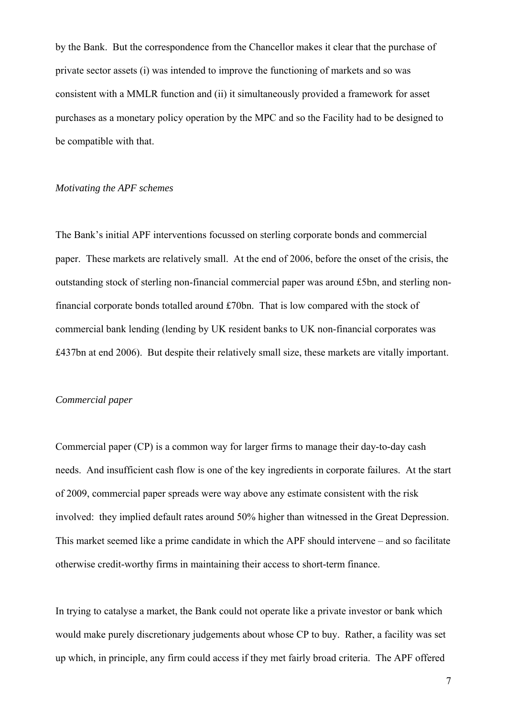by the Bank. But the correspondence from the Chancellor makes it clear that the purchase of private sector assets (i) was intended to improve the functioning of markets and so was consistent with a MMLR function and (ii) it simultaneously provided a framework for asset purchases as a monetary policy operation by the MPC and so the Facility had to be designed to be compatible with that.

#### *Motivating the APF schemes*

The Bank's initial APF interventions focussed on sterling corporate bonds and commercial paper. These markets are relatively small. At the end of 2006, before the onset of the crisis, the outstanding stock of sterling non-financial commercial paper was around £5bn, and sterling nonfinancial corporate bonds totalled around £70bn. That is low compared with the stock of commercial bank lending (lending by UK resident banks to UK non-financial corporates was £437bn at end 2006). But despite their relatively small size, these markets are vitally important.

#### *Commercial paper*

Commercial paper (CP) is a common way for larger firms to manage their day-to-day cash needs. And insufficient cash flow is one of the key ingredients in corporate failures. At the start of 2009, commercial paper spreads were way above any estimate consistent with the risk involved: they implied default rates around 50% higher than witnessed in the Great Depression. This market seemed like a prime candidate in which the APF should intervene – and so facilitate otherwise credit-worthy firms in maintaining their access to short-term finance.

In trying to catalyse a market, the Bank could not operate like a private investor or bank which would make purely discretionary judgements about whose CP to buy. Rather, a facility was set up which, in principle, any firm could access if they met fairly broad criteria. The APF offered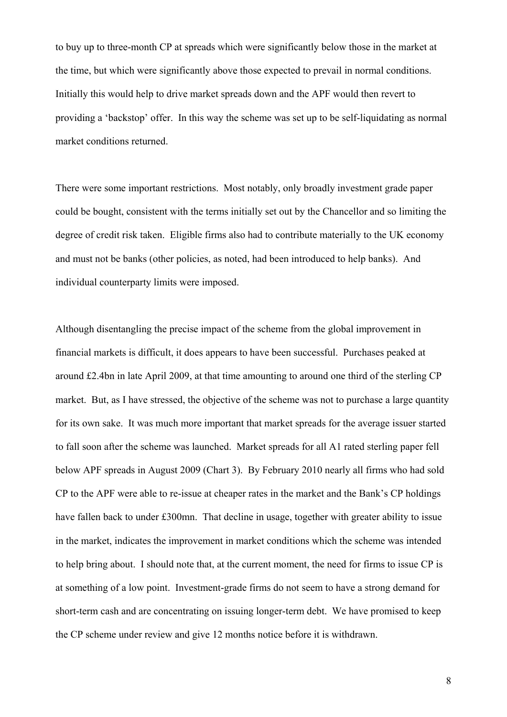to buy up to three-month CP at spreads which were significantly below those in the market at the time, but which were significantly above those expected to prevail in normal conditions. Initially this would help to drive market spreads down and the APF would then revert to providing a 'backstop' offer. In this way the scheme was set up to be self-liquidating as normal market conditions returned.

There were some important restrictions. Most notably, only broadly investment grade paper could be bought, consistent with the terms initially set out by the Chancellor and so limiting the degree of credit risk taken. Eligible firms also had to contribute materially to the UK economy and must not be banks (other policies, as noted, had been introduced to help banks). And individual counterparty limits were imposed.

Although disentangling the precise impact of the scheme from the global improvement in financial markets is difficult, it does appears to have been successful. Purchases peaked at around £2.4bn in late April 2009, at that time amounting to around one third of the sterling CP market. But, as I have stressed, the objective of the scheme was not to purchase a large quantity for its own sake. It was much more important that market spreads for the average issuer started to fall soon after the scheme was launched. Market spreads for all A1 rated sterling paper fell below APF spreads in August 2009 (Chart 3). By February 2010 nearly all firms who had sold CP to the APF were able to re-issue at cheaper rates in the market and the Bank's CP holdings have fallen back to under £300mn. That decline in usage, together with greater ability to issue in the market, indicates the improvement in market conditions which the scheme was intended to help bring about. I should note that, at the current moment, the need for firms to issue CP is at something of a low point. Investment-grade firms do not seem to have a strong demand for short-term cash and are concentrating on issuing longer-term debt. We have promised to keep the CP scheme under review and give 12 months notice before it is withdrawn.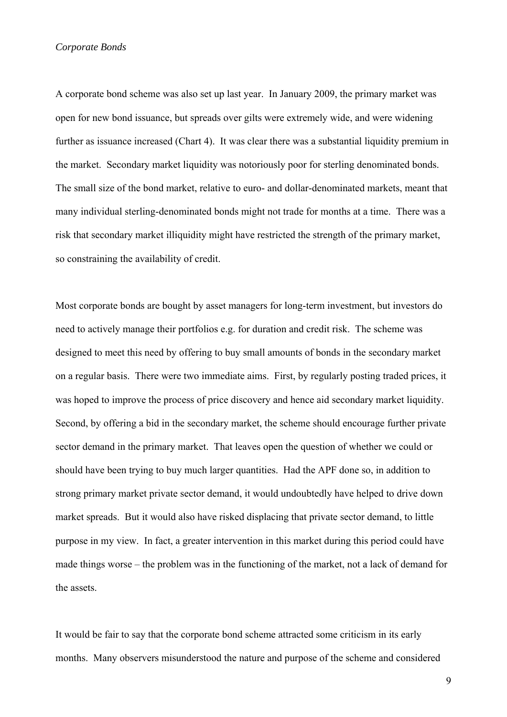#### *Corporate Bonds*

A corporate bond scheme was also set up last year. In January 2009, the primary market was open for new bond issuance, but spreads over gilts were extremely wide, and were widening further as issuance increased (Chart 4). It was clear there was a substantial liquidity premium in the market. Secondary market liquidity was notoriously poor for sterling denominated bonds. The small size of the bond market, relative to euro- and dollar-denominated markets, meant that many individual sterling-denominated bonds might not trade for months at a time. There was a risk that secondary market illiquidity might have restricted the strength of the primary market, so constraining the availability of credit.

Most corporate bonds are bought by asset managers for long-term investment, but investors do need to actively manage their portfolios e.g. for duration and credit risk. The scheme was designed to meet this need by offering to buy small amounts of bonds in the secondary market on a regular basis. There were two immediate aims. First, by regularly posting traded prices, it was hoped to improve the process of price discovery and hence aid secondary market liquidity. Second, by offering a bid in the secondary market, the scheme should encourage further private sector demand in the primary market. That leaves open the question of whether we could or should have been trying to buy much larger quantities. Had the APF done so, in addition to strong primary market private sector demand, it would undoubtedly have helped to drive down market spreads. But it would also have risked displacing that private sector demand, to little purpose in my view. In fact, a greater intervention in this market during this period could have made things worse – the problem was in the functioning of the market, not a lack of demand for the assets.

It would be fair to say that the corporate bond scheme attracted some criticism in its early months. Many observers misunderstood the nature and purpose of the scheme and considered

9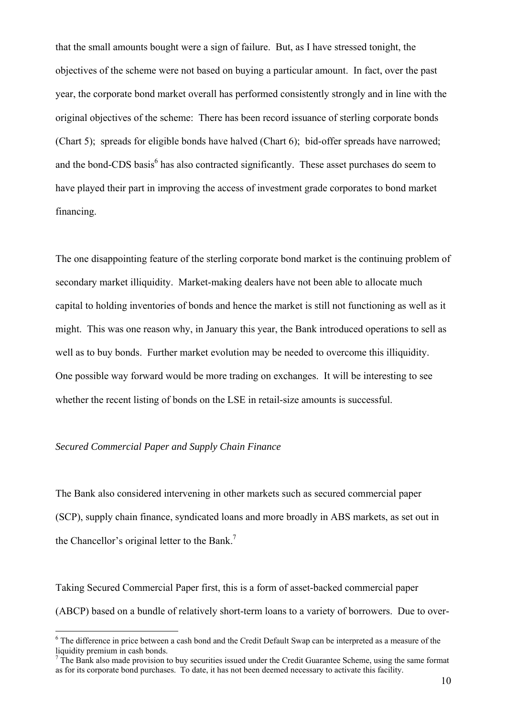that the small amounts bought were a sign of failure. But, as I have stressed tonight, the objectives of the scheme were not based on buying a particular amount. In fact, over the past year, the corporate bond market overall has performed consistently strongly and in line with the original objectives of the scheme: There has been record issuance of sterling corporate bonds (Chart 5); spreads for eligible bonds have halved (Chart 6); bid-offer spreads have narrowed; and the bond-CDS basis<sup>6</sup> has also contracted significantly. These asset purchases do seem to have played their part in improving the access of investment grade corporates to bond market financing.

The one disappointing feature of the sterling corporate bond market is the continuing problem of secondary market illiquidity. Market-making dealers have not been able to allocate much capital to holding inventories of bonds and hence the market is still not functioning as well as it might. This was one reason why, in January this year, the Bank introduced operations to sell as well as to buy bonds. Further market evolution may be needed to overcome this illiquidity. One possible way forward would be more trading on exchanges. It will be interesting to see whether the recent listing of bonds on the LSE in retail-size amounts is successful.

#### *Secured Commercial Paper and Supply Chain Finance*

<u>.</u>

The Bank also considered intervening in other markets such as secured commercial paper (SCP), supply chain finance, syndicated loans and more broadly in ABS markets, as set out in the Chancellor's original letter to the Bank.<sup>7</sup>

Taking Secured Commercial Paper first, this is a form of asset-backed commercial paper (ABCP) based on a bundle of relatively short-term loans to a variety of borrowers. Due to over-

<sup>&</sup>lt;sup>6</sup> The difference in price between a cash bond and the Credit Default Swap can be interpreted as a measure of the liquidity premium in cash bonds.

 $<sup>7</sup>$  The Bank also made provision to buy securities issued under the Credit Guarantee Scheme, using the same format</sup> as for its corporate bond purchases. To date, it has not been deemed necessary to activate this facility.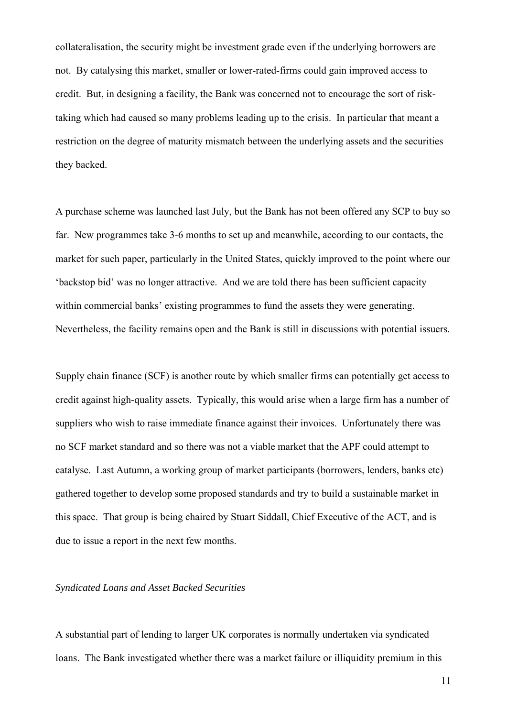collateralisation, the security might be investment grade even if the underlying borrowers are not. By catalysing this market, smaller or lower-rated-firms could gain improved access to credit. But, in designing a facility, the Bank was concerned not to encourage the sort of risktaking which had caused so many problems leading up to the crisis. In particular that meant a restriction on the degree of maturity mismatch between the underlying assets and the securities they backed.

A purchase scheme was launched last July, but the Bank has not been offered any SCP to buy so far. New programmes take 3-6 months to set up and meanwhile, according to our contacts, the market for such paper, particularly in the United States, quickly improved to the point where our 'backstop bid' was no longer attractive. And we are told there has been sufficient capacity within commercial banks' existing programmes to fund the assets they were generating. Nevertheless, the facility remains open and the Bank is still in discussions with potential issuers.

Supply chain finance (SCF) is another route by which smaller firms can potentially get access to credit against high-quality assets. Typically, this would arise when a large firm has a number of suppliers who wish to raise immediate finance against their invoices. Unfortunately there was no SCF market standard and so there was not a viable market that the APF could attempt to catalyse. Last Autumn, a working group of market participants (borrowers, lenders, banks etc) gathered together to develop some proposed standards and try to build a sustainable market in this space. That group is being chaired by Stuart Siddall, Chief Executive of the ACT, and is due to issue a report in the next few months.

#### *Syndicated Loans and Asset Backed Securities*

A substantial part of lending to larger UK corporates is normally undertaken via syndicated loans. The Bank investigated whether there was a market failure or illiquidity premium in this

11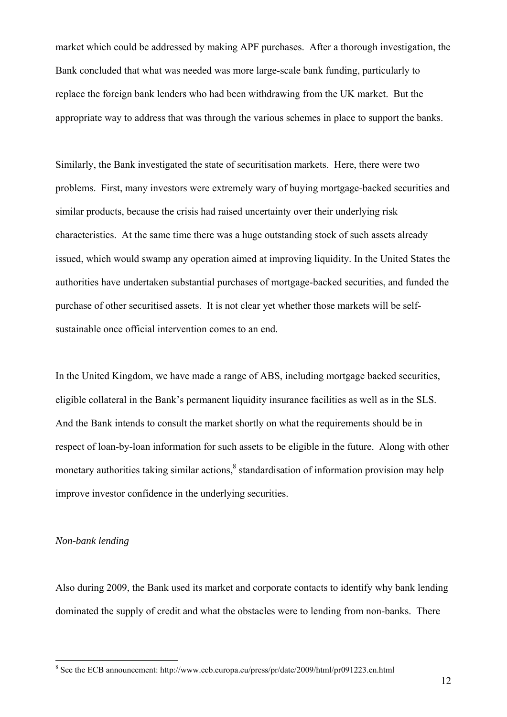market which could be addressed by making APF purchases. After a thorough investigation, the Bank concluded that what was needed was more large-scale bank funding, particularly to replace the foreign bank lenders who had been withdrawing from the UK market. But the appropriate way to address that was through the various schemes in place to support the banks.

Similarly, the Bank investigated the state of securitisation markets. Here, there were two problems. First, many investors were extremely wary of buying mortgage-backed securities and similar products, because the crisis had raised uncertainty over their underlying risk characteristics. At the same time there was a huge outstanding stock of such assets already issued, which would swamp any operation aimed at improving liquidity. In the United States the authorities have undertaken substantial purchases of mortgage-backed securities, and funded the purchase of other securitised assets. It is not clear yet whether those markets will be selfsustainable once official intervention comes to an end.

In the United Kingdom, we have made a range of ABS, including mortgage backed securities, eligible collateral in the Bank's permanent liquidity insurance facilities as well as in the SLS. And the Bank intends to consult the market shortly on what the requirements should be in respect of loan-by-loan information for such assets to be eligible in the future. Along with other monetary authorities taking similar actions,<sup>8</sup> standardisation of information provision may help improve investor confidence in the underlying securities.

#### *Non-bank lending*

Also during 2009, the Bank used its market and corporate contacts to identify why bank lending dominated the supply of credit and what the obstacles were to lending from non-banks. There

<sup>&</sup>lt;sup>8</sup> See the ECB announcement: http://www.ecb.europa.eu/press/pr/date/2009/html/pr091223.en.html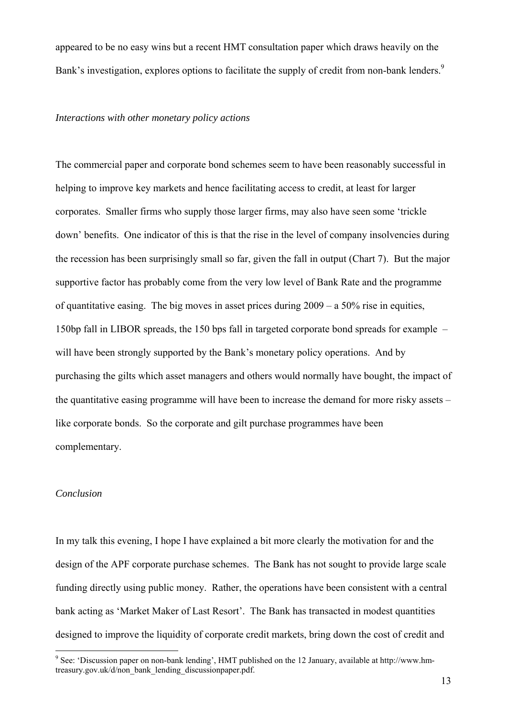appeared to be no easy wins but a recent HMT consultation paper which draws heavily on the Bank's investigation, explores options to facilitate the supply of credit from non-bank lenders.<sup>9</sup>

## *Interactions with other monetary policy actions*

The commercial paper and corporate bond schemes seem to have been reasonably successful in helping to improve key markets and hence facilitating access to credit, at least for larger corporates. Smaller firms who supply those larger firms, may also have seen some 'trickle down' benefits. One indicator of this is that the rise in the level of company insolvencies during the recession has been surprisingly small so far, given the fall in output (Chart 7). But the major supportive factor has probably come from the very low level of Bank Rate and the programme of quantitative easing. The big moves in asset prices during  $2009 - a\ 50\%$  rise in equities, 150bp fall in LIBOR spreads, the 150 bps fall in targeted corporate bond spreads for example – will have been strongly supported by the Bank's monetary policy operations. And by purchasing the gilts which asset managers and others would normally have bought, the impact of the quantitative easing programme will have been to increase the demand for more risky assets – like corporate bonds. So the corporate and gilt purchase programmes have been complementary.

## *Conclusion*

In my talk this evening, I hope I have explained a bit more clearly the motivation for and the design of the APF corporate purchase schemes. The Bank has not sought to provide large scale funding directly using public money. Rather, the operations have been consistent with a central bank acting as 'Market Maker of Last Resort'. The Bank has transacted in modest quantities designed to improve the liquidity of corporate credit markets, bring down the cost of credit and

<sup>9&</sup>lt;br>
<sup>9</sup> See: 'Discussion paper on non-bank lending', HMT published on the 12 January, available at http://www.hmtreasury.gov.uk/d/non\_bank\_lending\_discussionpaper.pdf.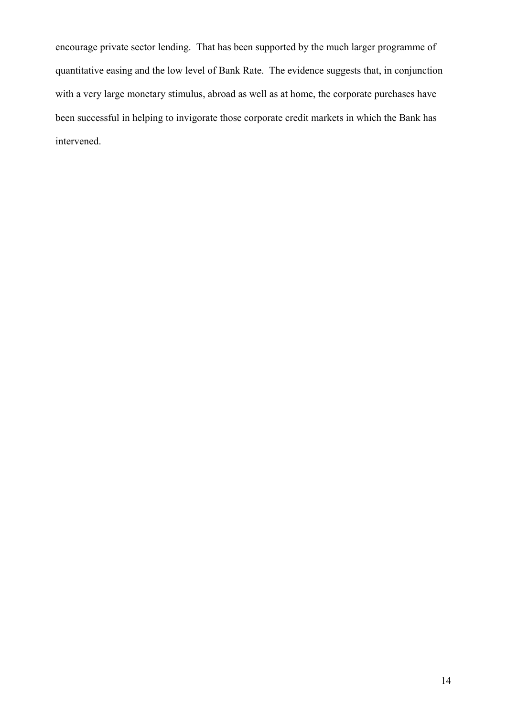encourage private sector lending. That has been supported by the much larger programme of quantitative easing and the low level of Bank Rate. The evidence suggests that, in conjunction with a very large monetary stimulus, abroad as well as at home, the corporate purchases have been successful in helping to invigorate those corporate credit markets in which the Bank has intervened.